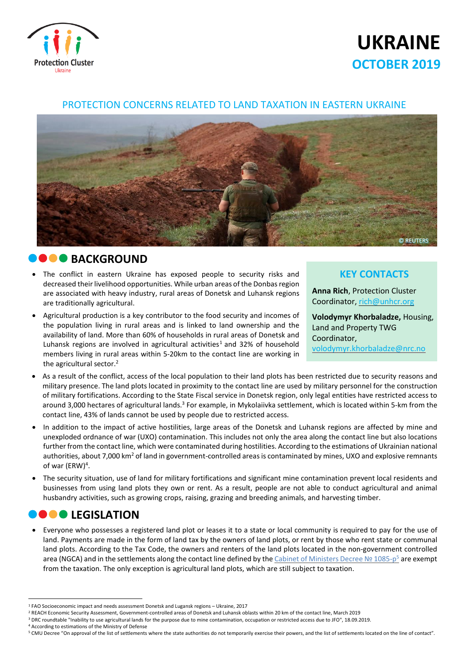

# **UKRAINE OCTOBER 2019**

#### PROTECTION CONCERNS RELATED TO LAND TAXATION IN EASTERN UKRAINE



#### **BACKGROUND**

- The conflict in eastern Ukraine has exposed people to security risks and decreased their livelihood opportunities. While urban areas of the Donbasregion are associated with heavy industry, rural areas of Donetsk and Luhansk regions are traditionally agricultural.
- Agricultural production is a key contributor to the food security and incomes of the population living in rural areas and is linked to land ownership and the availability of land. More than 60% of households in rural areas of Donetsk and Luhansk regions are involved in agricultural activities<sup>1</sup> and 32% of household members living in rural areas within 5-20km to the contact line are working in the agricultural sector. 2

#### **KEY CONTACTS**

**Anna Rich**, Protection Cluster Coordinator, [rich@unhcr.org](mailto:rich@unhcr.org)

**Volodymyr Khorbaladze,** Housing, Land and Property TWG Coordinator, [volodymyr.khorbaladze@nrc.no](mailto:volodymyr.khorbaladze@nrc.no)

- As a result of the conflict, access of the local population to their land plots has been restricted due to security reasons and military presence. The land plots located in proximity to the contact line are used by military personnel for the construction of military fortifications. According to the State Fiscal service in Donetsk region, only legal entities have restricted access to around 3,000 hectares of agricultural lands.<sup>3</sup> For example, in Mykolaiivka settlement, which is located within 5-km from the contact line, 43% of lands cannot be used by people due to restricted access.
- In addition to the impact of active hostilities, large areas of the Donetsk and Luhansk regions are affected by mine and unexploded ordnance of war (UXO) contamination. This includes not only the area along the contact line but also locations further from the contact line, which were contaminated during hostilities. According to the estimations of Ukrainian national authorities, about 7,000 km<sup>2</sup> of land in government-controlled areas is contaminated by mines, UXO and explosive remnants of war (ERW)<sup>4</sup>.
- The security situation, use of land for military fortifications and significant mine contamination prevent local residents and businesses from using land plots they own or rent. As a result, people are not able to conduct agricultural and animal husbandry activities, such as growing crops, raising, grazing and breeding animals, and harvesting timber.

# *DOOLEGISLATION*

 Everyone who possesses a registered land plot or leases it to a state or local community is required to pay for the use of land. Payments are made in the form of land tax by the owners of land plots, or rent by those who rent state or communal land plots. According to the Tax Code, the owners and renters of the land plots located in the non-government controlled area (NGCA) and in the settlements along the contact line defined by the *Cabinet of Ministers Decree N*º 1085-p<sup>5</sup> are exempt from the taxation. The only exception is agricultural land plots, which are still subject to taxation.

<sup>4</sup> According to estimations of the Ministry of Defense

 $\overline{\phantom{a}}$ <sup>1</sup> FAO [Socioeconomic](http://www.fao.org/3/a-i8171e.pdf) impact and needs assessment Donetsk and Lugansk regions – Ukraine, 2017

<sup>&</sup>lt;sup>2</sup> REACH Economic Security Assessment, [Government-controlled](https://www.humanitarianresponse.info/sites/www.humanitarianresponse.info/files/2019/07/REACH_Economic_security_assessment_2019.pdf) areas of Donetsk and Luhansk oblasts within 20 km of the contact line, March 2019

<sup>3</sup> DRC roundtable "Inability to use agricultural lands for the purpose due to mine contamination, occupation or restricted access due to JFO", 18.09.2019.

<sup>&</sup>lt;sup>5</sup> CMU Decree "On approval of the list of settlements where the state authorities do not temporarily exercise their powers, and the list of settlements located on the line of contact".